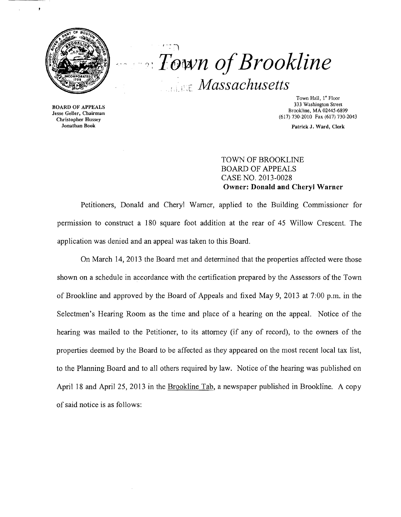

ł

 $\overline{r}$  $\alpha$  *Town of Brookline Massachusetts* 

BOARD OF APPEALS Jesse Geller, Chairman Christopher Hussey Jonathan Book

Town Hall, l' Floor 333 Washington Street Brookline, MA 02445-6899 (617) 730-2010 Fax (617) 730-2043

Patrick J. Ward, Clerk

TOWN OF BROOKLINE BOARD OF APPEALS CASE NO. 2013-0028 **Owner: Donald and Cheryl Warner** 

Petitioners, Donald and Cheryl Warner, applied to the Building Commissioner for permission to construct a 180 square foot addition at the rear of 45 Willow Crescent. The application was denied and an appeal was taken to this Board.

On March 14, 2013 the Board met and determined that the properties affected were those shown on a schedule in accordance with the certification prepared by the Assessors of the Town of Brookline and approved by the Board of Appeals and fixed May 9, 2013 at 7:00 p.m. in the Selectmen's Hearing Room as the time and place of a hearing on the appeal. Notice of the hearing was mailed to the Petitioner, to its attorney (if any of record), to the owners of the properties deemed by the Board to be affected as they appeared on the most recent local tax list, to the Planning Board and to all others required by law. Notice of the hearing was published on April 18 and April 25, 2013 in the Brookline Tab, a newspaper published in Brookline. A copy of said notice is as follows: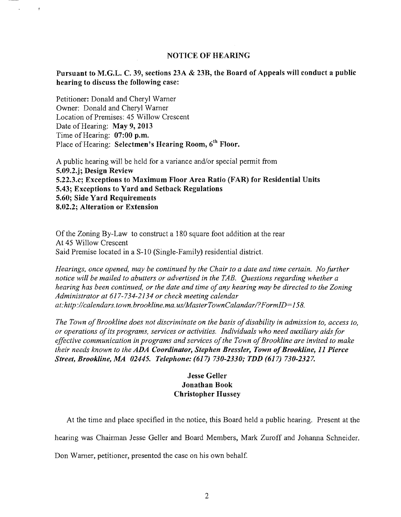### NOTICE OF HEARING

### Pursuant to M.G.L. C. 39, sections 23A & 23B, the Board of Appeals will conduct a public hearing to discuss the following case:

Petitioner: Donald and Cheryl Warner Owner: Donald and Cheryl Warner Location of Premises: 45 Willow Crescent Date of Hearing: May 9, 2013 Time of Hearing: 07:00 p.m. Place of Hearing: Selectmen's Hearing Room, 6<sup>th</sup> Floor.

 $\pmb{f}$ 

A public hearing will be held for a variance and/or special permit from 5.09.2.j; Design Review 5.22.3.c; Exceptions to Maximum Floor Area Ratio (FAR) for Residential Units 5.43; Exceptions to Yard and Setback Regulations 5.60; Side Yard Requirements 8.02.2; Alteration or Extension

Of the Zoning By-Law to construct a  $180$  square foot addition at the rear At 45 Willow Crescent Said Premise located in a S-10 (Single-Family) residential district.

*Hearings, once opened, may be continued by the Chair to a date and time certain. No further notice will be mailed to abutters or advertised in the TAB. Questions regarding whether a hearing has been continued, or the date and time ofany hearing may be directed to the Zoning Administrator at* 617-734-2134 *or check meeting calendar at: http://calendars.town.brookline.ma.usIMasterTownCalandarl? FormID= 158.* 

*The Town of Brookline does not discriminate on the basis of disability in admission to, access to, or operations ofits programs, services or activities. Individuals who need auxiliary aids for*  effective communication in programs and services of the Town of Brookline are invited to make *their needs known to the ADA Coordinator, Stephen Bressler, Town of Brookline, 11 Pierce Street, Brookline, MA 02445. Telephone:* (617) *730-2330; TDD* (617) *730-2327.* 

## Jesse Geller Jonathan Book Christopher Hussey

At the time and place specified in the notice, this Board held a public hearing. Present at the hearing was Chairman Jesse Geller and Board Members, Mark Zuroff and Johanna Schneider.

Don Warner, petitioner, presented the case on his own behalf.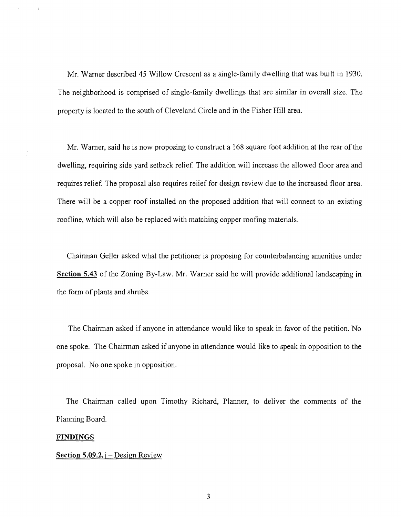Mr. Warner described 45 Willow Crescent as a single-family dwelling that was built in 1930. The neighborhood is comprised of single-family dwellings that are similar in overall size. The property is located to the south of Cleveland Circle and in the Fisher Hill area.

Mr. Warner, said he is now proposing to construct a 168 square foot addition at the rear of the dwelling, requiring side yard setback relief. The addition will increase the allowed floor area and requires relief. The proposal also requires relief for design review due to the increased floor area. There will be a copper roof installed on the proposed addition that will connect to an existing roofline, which will also be replaced with matching copper roofing materials.

Chairman Geller asked what the petitioner is proposing for counterbalancing amenities under **Section 5.43** of the Zoning By-Law. Mr. Warner said he will provide additional landscaping in the form of plants and shrubs.

The Chairman asked if anyone in attendance would like to speak in favor of the petition. No one spoke. The Chairman asked if anyone in attendance would like to speak in opposition to the proposal. No one spoke in opposition.

The Chairman called upon Timothy Richard, Planner, to deliver the comments of the Planning Board.

#### **FINDINGS**

#### **Section 5.09.2.j** – Design Review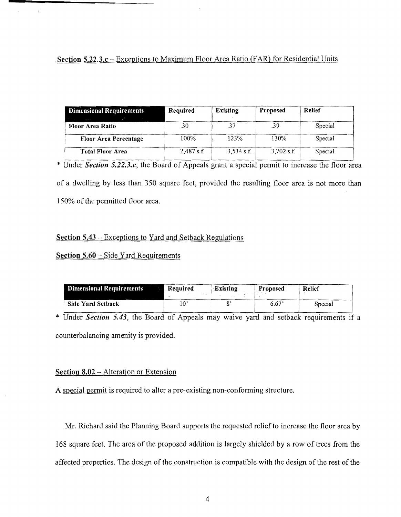# **Section 5.22.3.c** - Exceptions to Maximum Floor Area Ratio (FAR) for Residential Units

| <b>Dimensional Requirements</b> | Required     | Existing     | <b>Proposed</b> | Relief  |
|---------------------------------|--------------|--------------|-----------------|---------|
| Floor Area Ratio                | .30          | -37          | .39             | Special |
| <b>Floor Area Percentage</b>    | 100%         | 123%         | 130%            | Special |
| <b>Total Floor Area</b>         | $2,487$ s.f. | $3,534$ s.f. | $3.702$ s.f.    | Special |

\* Under *Section 5.22.3.c,* the Board of Appeals grant a special permit to increase the floor area of a dwelling by less than 350 square feet, provided the resulting floor area is not more than 150% of the permitted floor area.

## **Section 5.43** - Exceptions to Yard and Setback Regulations

## **Section 5.60 – Side Yard Requirements**

 $\mathbf{r}$  .

 $\mathbf{I}$ 

| <b>Dimensional Requirements</b> | Required    | Existing | <b>Proposed</b> | Relief  |
|---------------------------------|-------------|----------|-----------------|---------|
| <b>Side Yard Setback</b>        | $0^{\circ}$ |          | 6.67'           | Special |

\* Under *Section* **5.43,** the Board of Appeals may waive yard and setback requirements if a counterbalancing amenity is provided.

### **Section 8.02 – Alteration or Extension**

A special permit is required to alter a pre-existing non-conforming structure.

Mr. Richard said the Planning Board supports the requested relief to increase the floor area by 168 square feet. The area of the proposed addition is largely shielded by a row of trees from the affected properties. The design of the construction is compatible with the design of the rest of the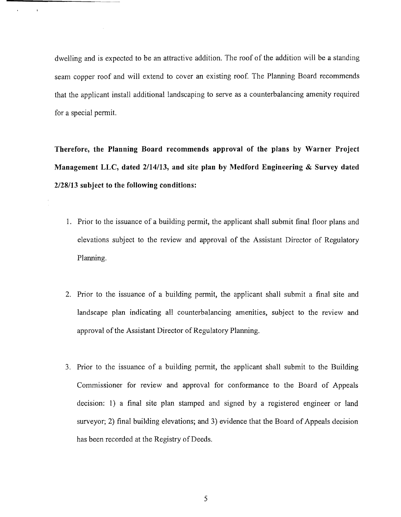dwelling and is expected to be an attractive addition. The roof of the addition will be a standing seam copper roof and will extend to cover an existing roof. The Planning Board recommends that the applicant install additional landscaping to serve as a counterbalancing amenity required for a special permit.

 $\ddot{\phantom{a}}$ 

**Therefore, the Planning Board recommends approval of the plans by Warner Project Management LLC, dated 2/14/13, and site plan by Medford Engineering & Survey dated 2/28113 subject to the following conditions:** 

- 1. Prior to the issuance of a building permit, the applicant shall submit final floor plans and elevations subject to the review and approval of the Assistant Director of Regulatory Planning.
- 2. Prior to the issuance of a building permit, the applicant shall submit a final site and landscape plan indicating all counterbalancing amenities, subject to the review and approval of the Assistant Director of Regulatory Planning.
- 3. Prior to the issuance of a building permit, the applicant shall submit to the Building Commissioner for review and approval for conformance to the Board of Appeals decision: 1) a final site plan stamped and signed by a registered engineer or land surveyor; 2) final building elevations; and 3) evidence that the Board of Appeals decision has been recorded at the Registry of Deeds.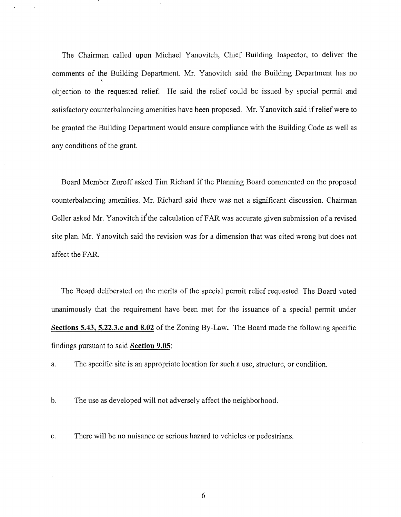The Chairman called upon Michael Yanovitch, Chief Building Inspector, to deliver the comments of the Building Department. Mr. Yanovitch said the Building Department has no objection to the requested relief. He said the relief could be issued by special pennit and satisfactory counterbalancing amenities have been proposed. Mr. Yanovitch said if relief were to be granted the Building Department would ensure compliance with the Building Code as well as any conditions of the grant.

Board Member Zuroff asked Tim Richard if the Planning Board commented on the proposed counterbalancing amenities. Mr. Richard said there was not a significant discussion. Chairman Geller asked Mr. Yanovitch if the calculation of FAR was accurate given submission of a revised site plan. Mr. Yanovitch said the revision was for a dimension that was cited wrong but does not affect the FAR.

The Board deliberated on the merits of the special pennit relief requested. The Board voted unanimously that the requirement have been met for the issuance of a special pennit under **Sections 5.43, 5.22.3.c and 8.02** of the Zoning By-Law. The Board made the following specific findings pursuant to said **Section 9.05:** 

a. The specific site is an appropriate location for such a use, structure, or condition.

b. The use as developed will not adversely affect the neighborhood.

c. There will be no nuisance or serious hazard to vehicles or pedestrians.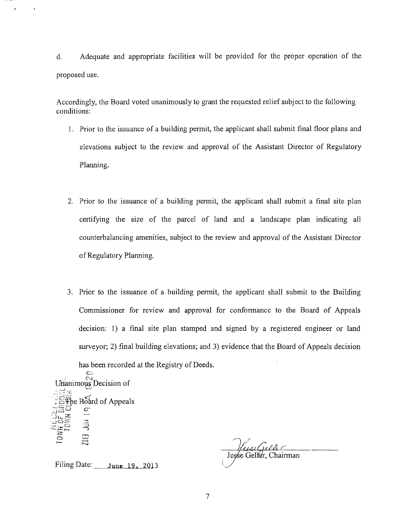d. Adequate and appropriate facilities will be provided for the proper operation of the proposed use.

Accordingly, the Board voted unanimously to grant the requested relief subject to the following conditions:

- 1. Prior to the issuance of a building permit, the applicant shall submit final floor plans and elevations subject to the review and approval of the Assistant Director of Regulatory Planning.
- 2. Prior to the issuance of a building permit, the applicant shall submit a final site plan certifying the size of the parcel of land and a landscape plan indicating all counterbalancing amenities, subject to the review and approval of the Assistant Director ofRegulatory Planning.
- 3. Prior to the issuance of a building permit, the applicant shall submit to the Building Commissioner for review and approval for conformance to the Board of Appeals decision: 1) a final site plan stamped and signed by a registered engineer or land surveyor; 2) final building elevations; and 3) evidence that the Board of Appeals decision has been recorded at the Registry of Deeds.

C:J Unanimous Decision of \_\_ ; ~:! ~,~ *\_.J*   $\oint_C$  Board of Appeals  $\ddot{\ddot{\mathbf{3}}}$ **2013** a I-

Jesse Geller. Chairman

Filing Date: **June** 19, 2013